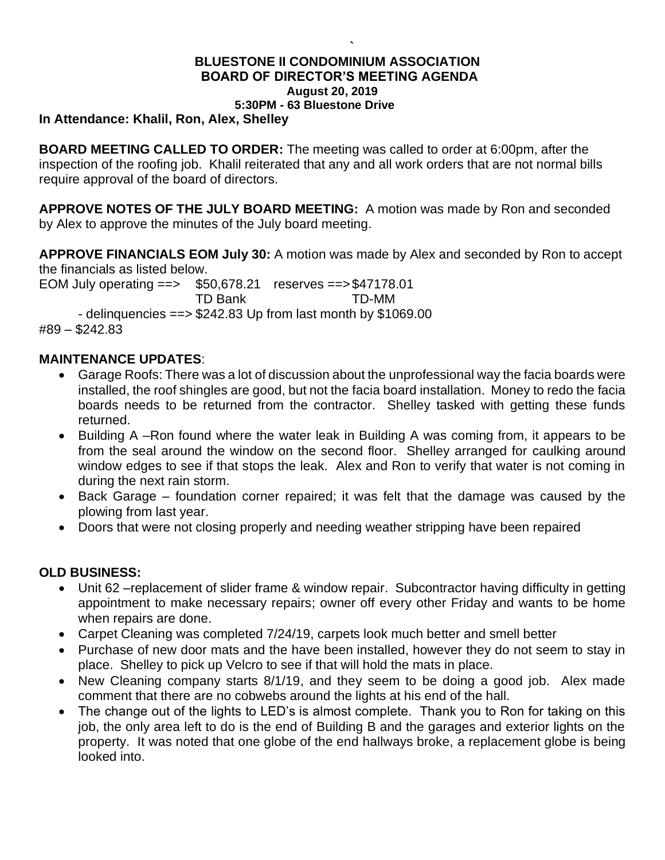#### **` BLUESTONE II CONDOMINIUM ASSOCIATION BOARD OF DIRECTOR'S MEETING AGENDA August 20, 2019 5:30PM - 63 Bluestone Drive**

**In Attendance: Khalil, Ron, Alex, Shelley**

**BOARD MEETING CALLED TO ORDER:** The meeting was called to order at 6:00pm, after the inspection of the roofing job. Khalil reiterated that any and all work orders that are not normal bills require approval of the board of directors.

**APPROVE NOTES OF THE JULY BOARD MEETING:** A motion was made by Ron and seconded by Alex to approve the minutes of the July board meeting.

**APPROVE FINANCIALS EOM July 30:** A motion was made by Alex and seconded by Ron to accept the financials as listed below.

EOM July operating ==> \$50,678.21 reserves ==>\$47178.01 TD Bank TD-MM - delinquencies ==> \$242.83 Up from last month by \$1069.00 #89 – \$242.83

### **MAINTENANCE UPDATES**:

- Garage Roofs: There was a lot of discussion about the unprofessional way the facia boards were installed, the roof shingles are good, but not the facia board installation. Money to redo the facia boards needs to be returned from the contractor. Shelley tasked with getting these funds returned.
- Building A –Ron found where the water leak in Building A was coming from, it appears to be from the seal around the window on the second floor. Shelley arranged for caulking around window edges to see if that stops the leak. Alex and Ron to verify that water is not coming in during the next rain storm.
- Back Garage foundation corner repaired; it was felt that the damage was caused by the plowing from last year.
- Doors that were not closing properly and needing weather stripping have been repaired

### **OLD BUSINESS:**

- Unit 62 –replacement of slider frame & window repair. Subcontractor having difficulty in getting appointment to make necessary repairs; owner off every other Friday and wants to be home when repairs are done.
- Carpet Cleaning was completed 7/24/19, carpets look much better and smell better
- Purchase of new door mats and the have been installed, however they do not seem to stay in place. Shelley to pick up Velcro to see if that will hold the mats in place.
- New Cleaning company starts 8/1/19, and they seem to be doing a good job. Alex made comment that there are no cobwebs around the lights at his end of the hall.
- The change out of the lights to LED's is almost complete. Thank you to Ron for taking on this job, the only area left to do is the end of Building B and the garages and exterior lights on the property. It was noted that one globe of the end hallways broke, a replacement globe is being looked into.